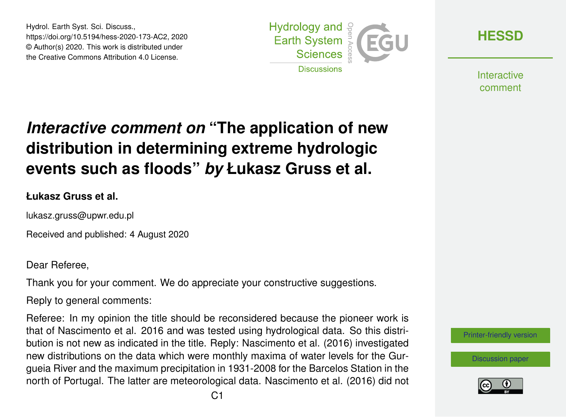Hydrol. Earth Syst. Sci. Discuss., https://doi.org/10.5194/hess-2020-173-AC2, 2020 © Author(s) 2020. This work is distributed under the Creative Commons Attribution 4.0 License.



**[HESSD](https://hess.copernicus.org/preprints/)**

**Interactive** comment

# *Interactive comment on* **"The application of new distribution in determining extreme hydrologic events such as floods"** *by* **Łukasz Gruss et al.**

#### **Łukasz Gruss et al.**

lukasz.gruss@upwr.edu.pl

Received and published: 4 August 2020

Dear Referee,

Thank you for your comment. We do appreciate your constructive suggestions.

Reply to general comments:

Referee: In my opinion the title should be reconsidered because the pioneer work is that of Nascimento et al. 2016 and was tested using hydrological data. So this distribution is not new as indicated in the title. Reply: Nascimento et al. (2016) investigated new distributions on the data which were monthly maxima of water levels for the Gurgueia River and the maximum precipitation in 1931-2008 for the Barcelos Station in the north of Portugal. The latter are meteorological data. Nascimento et al. (2016) did not



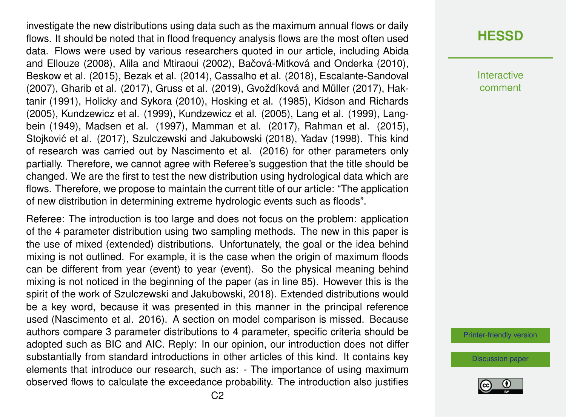investigate the new distributions using data such as the maximum annual flows or daily flows. It should be noted that in flood frequency analysis flows are the most often used data. Flows were used by various researchers quoted in our article, including Abida and Ellouze (2008), Alila and Mtiraoui (2002), Bačová-Mitková and Onderka (2010), Beskow et al. (2015), Bezak et al. (2014), Cassalho et al. (2018), Escalante-Sandoval (2007), Gharib et al. (2017), Gruss et al. (2019), Gvoždíková and Müller (2017), Haktanir (1991), Holicky and Sykora (2010), Hosking et al. (1985), Kidson and Richards (2005), Kundzewicz et al. (1999), Kundzewicz et al. (2005), Lang et al. (1999), Langbein (1949), Madsen et al. (1997), Mamman et al. (2017), Rahman et al. (2015), Stojković et al. (2017), Szulczewski and Jakubowski (2018), Yadav (1998). This kind of research was carried out by Nascimento et al. (2016) for other parameters only partially. Therefore, we cannot agree with Referee's suggestion that the title should be changed. We are the first to test the new distribution using hydrological data which are flows. Therefore, we propose to maintain the current title of our article: "The application of new distribution in determining extreme hydrologic events such as floods".

Referee: The introduction is too large and does not focus on the problem: application of the 4 parameter distribution using two sampling methods. The new in this paper is the use of mixed (extended) distributions. Unfortunately, the goal or the idea behind mixing is not outlined. For example, it is the case when the origin of maximum floods can be different from year (event) to year (event). So the physical meaning behind mixing is not noticed in the beginning of the paper (as in line 85). However this is the spirit of the work of Szulczewski and Jakubowski, 2018). Extended distributions would be a key word, because it was presented in this manner in the principal reference used (Nascimento et al. 2016). A section on model comparison is missed. Because authors compare 3 parameter distributions to 4 parameter, specific criteria should be adopted such as BIC and AIC. Reply: In our opinion, our introduction does not differ substantially from standard introductions in other articles of this kind. It contains key elements that introduce our research, such as: - The importance of using maximum observed flows to calculate the exceedance probability. The introduction also justifies **[HESSD](https://hess.copernicus.org/preprints/)**

Interactive comment

[Printer-friendly version](https://hess.copernicus.org/preprints/hess-2020-173/hess-2020-173-AC2-print.pdf)

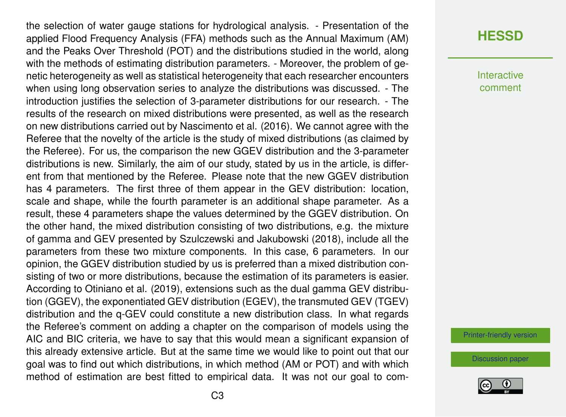the selection of water gauge stations for hydrological analysis. - Presentation of the applied Flood Frequency Analysis (FFA) methods such as the Annual Maximum (AM) and the Peaks Over Threshold (POT) and the distributions studied in the world, along with the methods of estimating distribution parameters. - Moreover, the problem of genetic heterogeneity as well as statistical heterogeneity that each researcher encounters when using long observation series to analyze the distributions was discussed. - The introduction justifies the selection of 3-parameter distributions for our research. - The results of the research on mixed distributions were presented, as well as the research on new distributions carried out by Nascimento et al. (2016). We cannot agree with the Referee that the novelty of the article is the study of mixed distributions (as claimed by the Referee). For us, the comparison the new GGEV distribution and the 3-parameter distributions is new. Similarly, the aim of our study, stated by us in the article, is different from that mentioned by the Referee. Please note that the new GGEV distribution has 4 parameters. The first three of them appear in the GEV distribution: location, scale and shape, while the fourth parameter is an additional shape parameter. As a result, these 4 parameters shape the values determined by the GGEV distribution. On the other hand, the mixed distribution consisting of two distributions, e.g. the mixture of gamma and GEV presented by Szulczewski and Jakubowski (2018), include all the parameters from these two mixture components. In this case, 6 parameters. In our opinion, the GGEV distribution studied by us is preferred than a mixed distribution consisting of two or more distributions, because the estimation of its parameters is easier. According to Otiniano et al. (2019), extensions such as the dual gamma GEV distribution (GGEV), the exponentiated GEV distribution (EGEV), the transmuted GEV (TGEV) distribution and the q-GEV could constitute a new distribution class. In what regards the Referee's comment on adding a chapter on the comparison of models using the AIC and BIC criteria, we have to say that this would mean a significant expansion of this already extensive article. But at the same time we would like to point out that our goal was to find out which distributions, in which method (AM or POT) and with which method of estimation are best fitted to empirical data. It was not our goal to com-

#### **[HESSD](https://hess.copernicus.org/preprints/)**

Interactive comment

[Printer-friendly version](https://hess.copernicus.org/preprints/hess-2020-173/hess-2020-173-AC2-print.pdf)

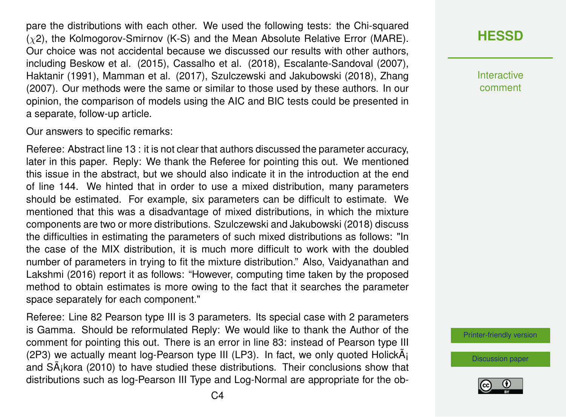pare the distributions with each other. We used the following tests: the Chi-squared  $(\chi 2)$ , the Kolmogorov-Smirnov (K-S) and the Mean Absolute Relative Error (MARE). Our choice was not accidental because we discussed our results with other authors, including Beskow et al. (2015), Cassalho et al. (2018), Escalante-Sandoval (2007), Haktanir (1991), Mamman et al. (2017), Szulczewski and Jakubowski (2018), Zhang (2007). Our methods were the same or similar to those used by these authors. In our opinion, the comparison of models using the AIC and BIC tests could be presented in a separate, follow-up article.

Our answers to specific remarks:

Referee: Abstract line 13 : it is not clear that authors discussed the parameter accuracy, later in this paper. Reply: We thank the Referee for pointing this out. We mentioned this issue in the abstract, but we should also indicate it in the introduction at the end of line 144. We hinted that in order to use a mixed distribution, many parameters should be estimated. For example, six parameters can be difficult to estimate. We mentioned that this was a disadvantage of mixed distributions, in which the mixture components are two or more distributions. Szulczewski and Jakubowski (2018) discuss the difficulties in estimating the parameters of such mixed distributions as follows: "In the case of the MIX distribution, it is much more difficult to work with the doubled number of parameters in trying to fit the mixture distribution." Also, Vaidyanathan and Lakshmi (2016) report it as follows: "However, computing time taken by the proposed method to obtain estimates is more owing to the fact that it searches the parameter space separately for each component."

Referee: Line 82 Pearson type III is 3 parameters. Its special case with 2 parameters is Gamma. Should be reformulated Reply: We would like to thank the Author of the comment for pointing this out. There is an error in line 83: instead of Pearson type III (2P3) we actually meant log-Pearson type III (LP3). In fact, we only quoted Holick $\tilde{A}_1$ and S $\tilde{A}$ <sub>i</sub>kora (2010) to have studied these distributions. Their conclusions show that distributions such as log-Pearson III Type and Log-Normal are appropriate for the ob**[HESSD](https://hess.copernicus.org/preprints/)**

**Interactive** comment

[Printer-friendly version](https://hess.copernicus.org/preprints/hess-2020-173/hess-2020-173-AC2-print.pdf)

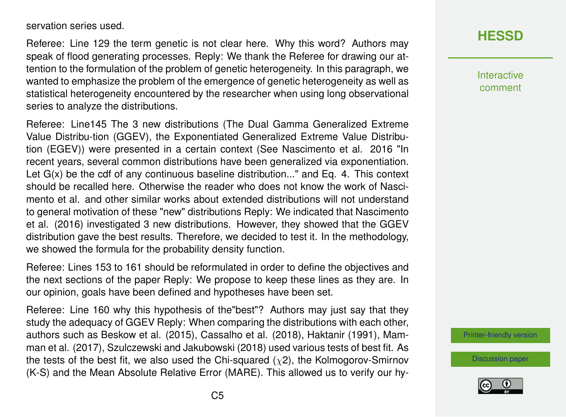servation series used.

Referee: Line 129 the term genetic is not clear here. Why this word? Authors may speak of flood generating processes. Reply: We thank the Referee for drawing our attention to the formulation of the problem of genetic heterogeneity. In this paragraph, we wanted to emphasize the problem of the emergence of genetic heterogeneity as well as statistical heterogeneity encountered by the researcher when using long observational series to analyze the distributions.

Referee: Line145 The 3 new distributions (The Dual Gamma Generalized Extreme Value Distribu-tion (GGEV), the Exponentiated Generalized Extreme Value Distribution (EGEV)) were presented in a certain context (See Nascimento et al. 2016 "In recent years, several common distributions have been generalized via exponentiation. Let G(x) be the cdf of any continuous baseline distribution..." and Eq. 4. This context should be recalled here. Otherwise the reader who does not know the work of Nascimento et al. and other similar works about extended distributions will not understand to general motivation of these "new" distributions Reply: We indicated that Nascimento et al. (2016) investigated 3 new distributions. However, they showed that the GGEV distribution gave the best results. Therefore, we decided to test it. In the methodology, we showed the formula for the probability density function.

Referee: Lines 153 to 161 should be reformulated in order to define the objectives and the next sections of the paper Reply: We propose to keep these lines as they are. In our opinion, goals have been defined and hypotheses have been set.

Referee: Line 160 why this hypothesis of the"best"? Authors may just say that they study the adequacy of GGEV Reply: When comparing the distributions with each other, authors such as Beskow et al. (2015), Cassalho et al. (2018), Haktanir (1991), Mamman et al. (2017), Szulczewski and Jakubowski (2018) used various tests of best fit. As the tests of the best fit, we also used the Chi-squared  $(\chi^2)$ , the Kolmogorov-Smirnov (K-S) and the Mean Absolute Relative Error (MARE). This allowed us to verify our hy-

## **[HESSD](https://hess.copernicus.org/preprints/)**

**Interactive** comment

[Printer-friendly version](https://hess.copernicus.org/preprints/hess-2020-173/hess-2020-173-AC2-print.pdf)

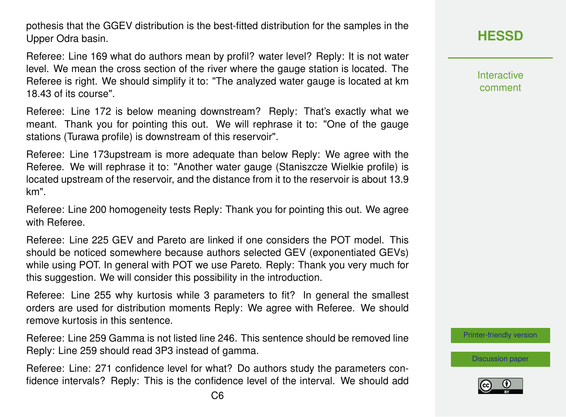pothesis that the GGEV distribution is the best-fitted distribution for the samples in the Upper Odra basin.

Referee: Line 169 what do authors mean by profil? water level? Reply: It is not water level. We mean the cross section of the river where the gauge station is located. The Referee is right. We should simplify it to: "The analyzed water gauge is located at km 18.43 of its course".

Referee: Line 172 is below meaning downstream? Reply: That's exactly what we meant. Thank you for pointing this out. We will rephrase it to: "One of the gauge stations (Turawa profile) is downstream of this reservoir".

Referee: Line 173upstream is more adequate than below Reply: We agree with the Referee. We will rephrase it to: "Another water gauge (Staniszcze Wielkie profile) is located upstream of the reservoir, and the distance from it to the reservoir is about 13.9 km".

Referee: Line 200 homogeneity tests Reply: Thank you for pointing this out. We agree with Referee.

Referee: Line 225 GEV and Pareto are linked if one considers the POT model. This should be noticed somewhere because authors selected GEV (exponentiated GEVs) while using POT. In general with POT we use Pareto. Reply: Thank you very much for this suggestion. We will consider this possibility in the introduction.

Referee: Line 255 why kurtosis while 3 parameters to fit? In general the smallest orders are used for distribution moments Reply: We agree with Referee. We should remove kurtosis in this sentence.

Referee: Line 259 Gamma is not listed line 246. This sentence should be removed line Reply: Line 259 should read 3P3 instead of gamma.

Referee: Line: 271 confidence level for what? Do authors study the parameters confidence intervals? Reply: This is the confidence level of the interval. We should add **Interactive** comment

[Printer-friendly version](https://hess.copernicus.org/preprints/hess-2020-173/hess-2020-173-AC2-print.pdf)

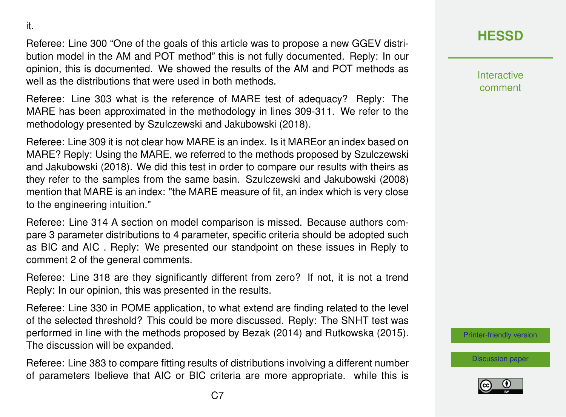it.

Referee: Line 300 "One of the goals of this article was to propose a new GGEV distribution model in the AM and POT method" this is not fully documented. Reply: In our opinion, this is documented. We showed the results of the AM and POT methods as well as the distributions that were used in both methods.

Referee: Line 303 what is the reference of MARE test of adequacy? Reply: The MARE has been approximated in the methodology in lines 309-311. We refer to the methodology presented by Szulczewski and Jakubowski (2018).

Referee: Line 309 it is not clear how MARE is an index. Is it MAREor an index based on MARE? Reply: Using the MARE, we referred to the methods proposed by Szulczewski and Jakubowski (2018). We did this test in order to compare our results with theirs as they refer to the samples from the same basin. Szulczewski and Jakubowski (2008) mention that MARE is an index: "the MARE measure of fit, an index which is very close to the engineering intuition."

Referee: Line 314 A section on model comparison is missed. Because authors compare 3 parameter distributions to 4 parameter, specific criteria should be adopted such as BIC and AIC . Reply: We presented our standpoint on these issues in Reply to comment 2 of the general comments.

Referee: Line 318 are they significantly different from zero? If not, it is not a trend Reply: In our opinion, this was presented in the results.

Referee: Line 330 in POME application, to what extend are finding related to the level of the selected threshold? This could be more discussed. Reply: The SNHT test was performed in line with the methods proposed by Bezak (2014) and Rutkowska (2015). The discussion will be expanded.

Referee: Line 383 to compare fitting results of distributions involving a different number of parameters Ibelieve that AIC or BIC criteria are more appropriate. while this is **[HESSD](https://hess.copernicus.org/preprints/)**

Interactive comment

[Printer-friendly version](https://hess.copernicus.org/preprints/hess-2020-173/hess-2020-173-AC2-print.pdf)

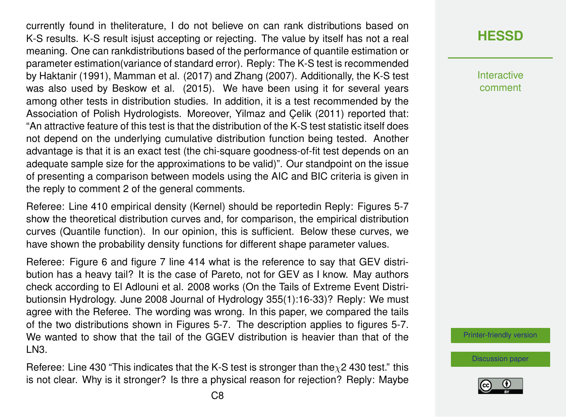currently found in theliterature, I do not believe on can rank distributions based on K-S results. K-S result isjust accepting or rejecting. The value by itself has not a real meaning. One can rankdistributions based of the performance of quantile estimation or parameter estimation(variance of standard error). Reply: The K-S test is recommended by Haktanir (1991), Mamman et al. (2017) and Zhang (2007). Additionally, the K-S test was also used by Beskow et al. (2015). We have been using it for several years among other tests in distribution studies. In addition, it is a test recommended by the Association of Polish Hydrologists. Moreover, Yilmaz and Çelik (2011) reported that: "An attractive feature of this test is that the distribution of the K-S test statistic itself does not depend on the underlying cumulative distribution function being tested. Another advantage is that it is an exact test (the chi-square goodness-of-fit test depends on an adequate sample size for the approximations to be valid)". Our standpoint on the issue of presenting a comparison between models using the AIC and BIC criteria is given in the reply to comment 2 of the general comments.

Referee: Line 410 empirical density (Kernel) should be reportedin Reply: Figures 5-7 show the theoretical distribution curves and, for comparison, the empirical distribution curves (Quantile function). In our opinion, this is sufficient. Below these curves, we have shown the probability density functions for different shape parameter values.

Referee: Figure 6 and figure 7 line 414 what is the reference to say that GEV distribution has a heavy tail? It is the case of Pareto, not for GEV as I know. May authors check according to El Adlouni et al. 2008 works (On the Tails of Extreme Event Distributionsin Hydrology. June 2008 Journal of Hydrology 355(1):16-33)? Reply: We must agree with the Referee. The wording was wrong. In this paper, we compared the tails of the two distributions shown in Figures 5-7. The description applies to figures 5-7. We wanted to show that the tail of the GGEV distribution is heavier than that of the LN3.

Referee: Line 430 "This indicates that the K-S test is stronger than the  $\chi$ 2 430 test." this is not clear. Why is it stronger? Is thre a physical reason for rejection? Reply: Maybe

#### **[HESSD](https://hess.copernicus.org/preprints/)**

**Interactive** comment

[Printer-friendly version](https://hess.copernicus.org/preprints/hess-2020-173/hess-2020-173-AC2-print.pdf)

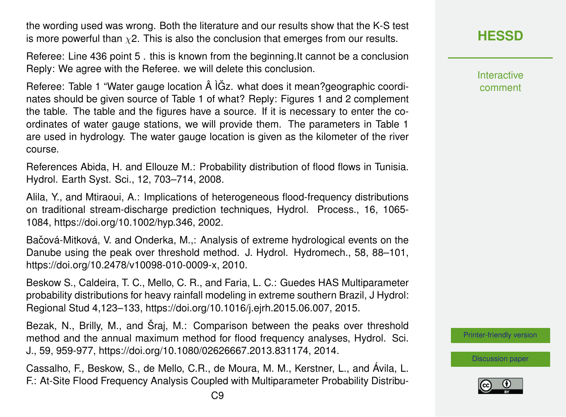the wording used was wrong. Both the literature and our results show that the K-S test is more powerful than  $\chi$ 2. This is also the conclusion that emerges from our results.

Referee: Line 436 point 5 . this is known from the beginning.It cannot be a conclusion Reply: We agree with the Referee. we will delete this conclusion.

Referee: Table 1 "Water gauge location  $\hat{A}$   $\tilde{G}$ z. what does it mean?geographic coordinates should be given source of Table 1 of what? Reply: Figures 1 and 2 complement the table. The table and the figures have a source. If it is necessary to enter the coordinates of water gauge stations, we will provide them. The parameters in Table 1 are used in hydrology. The water gauge location is given as the kilometer of the river course.

References Abida, H. and Ellouze M.: Probability distribution of flood flows in Tunisia. Hydrol. Earth Syst. Sci., 12, 703–714, 2008.

Alila, Y., and Mtiraoui, A.: Implications of heterogeneous flood-frequency distributions on traditional stream-discharge prediction techniques, Hydrol. Process., 16, 1065- 1084, https://doi.org/10.1002/hyp.346, 2002.

Bačová-Mitková, V. and Onderka, M.,: Analysis of extreme hydrological events on the Danube using the peak over threshold method. J. Hydrol. Hydromech., 58, 88–101, https://doi.org/10.2478/v10098-010-0009-x, 2010.

Beskow S., Caldeira, T. C., Mello, C. R., and Faria, L. C.: Guedes HAS Multiparameter probability distributions for heavy rainfall modeling in extreme southern Brazil, J Hydrol: Regional Stud 4,123–133, https://doi.org/10.1016/j.ejrh.2015.06.007, 2015.

Bezak, N., Brilly, M., and Šraj, M.: Comparison between the peaks over threshold method and the annual maximum method for flood frequency analyses, Hydrol. Sci. J., 59, 959-977, https://doi.org/10.1080/02626667.2013.831174, 2014.

Cassalho, F., Beskow, S., de Mello, C.R., de Moura, M. M., Kerstner, L., and Ávila, L. F.: At-Site Flood Frequency Analysis Coupled with Multiparameter Probability Distribu**Interactive** comment

[Printer-friendly version](https://hess.copernicus.org/preprints/hess-2020-173/hess-2020-173-AC2-print.pdf)

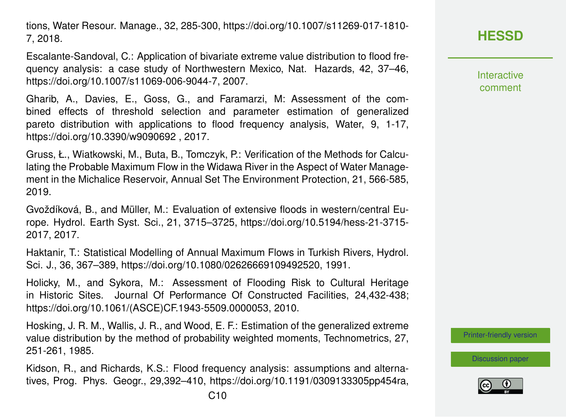tions, Water Resour. Manage., 32, 285-300, https://doi.org/10.1007/s11269-017-1810- 7, 2018.

Escalante-Sandoval, C.: Application of bivariate extreme value distribution to flood frequency analysis: a case study of Northwestern Mexico, Nat. Hazards, 42, 37–46, https://doi.org/10.1007/s11069-006-9044-7, 2007.

Gharib, A., Davies, E., Goss, G., and Faramarzi, M: Assessment of the combined effects of threshold selection and parameter estimation of generalized pareto distribution with applications to flood frequency analysis, Water, 9, 1-17, https://doi.org/10.3390/w9090692 , 2017.

Gruss, Ł., Wiatkowski, M., Buta, B., Tomczyk, P.: Verification of the Methods for Calculating the Probable Maximum Flow in the Widawa River in the Aspect of Water Management in the Michalice Reservoir, Annual Set The Environment Protection, 21, 566-585, 2019.

Gvoždíková, B., and Müller, M.: Evaluation of extensive floods in western/central Europe. Hydrol. Earth Syst. Sci., 21, 3715–3725, https://doi.org/10.5194/hess-21-3715- 2017, 2017.

Haktanir, T.: Statistical Modelling of Annual Maximum Flows in Turkish Rivers, Hydrol. Sci. J., 36, 367–389, https://doi.org/10.1080/02626669109492520, 1991.

Holicky, M., and Sykora, M.: Assessment of Flooding Risk to Cultural Heritage in Historic Sites. Journal Of Performance Of Constructed Facilities, 24,432-438; https://doi.org/10.1061/(ASCE)CF.1943-5509.0000053, 2010.

Hosking, J. R. M., Wallis, J. R., and Wood, E. F.: Estimation of the generalized extreme value distribution by the method of probability weighted moments, Technometrics, 27, 251-261, 1985.

Kidson, R., and Richards, K.S.: Flood frequency analysis: assumptions and alternatives, Prog. Phys. Geogr., 29,392–410, https://doi.org/10.1191/0309133305pp454ra, Interactive comment

[Printer-friendly version](https://hess.copernicus.org/preprints/hess-2020-173/hess-2020-173-AC2-print.pdf)

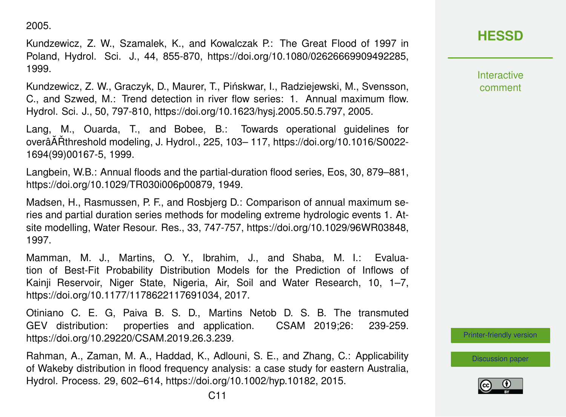2005.

Kundzewicz, Z. W., Szamalek, K., and Kowalczak P.: The Great Flood of 1997 in Poland, Hydrol. Sci. J., 44, 855-870, https://doi.org/10.1080/02626669909492285, 1999.

Kundzewicz, Z. W., Graczyk, D., Maurer, T., Pinskwar, I., Radziejewski, M., Svensson, ´ C., and Szwed, M.: Trend detection in river flow series: 1. Annual maximum flow. Hydrol. Sci. J., 50, 797-810, https://doi.org/10.1623/hysj.2005.50.5.797, 2005.

Lang, M., Ouarda, T., and Bobee, B.: Towards operational guidelines for overâĂŘthreshold modeling, J. Hydrol., 225, 103– 117, https://doi.org/10.1016/S0022-1694(99)00167-5, 1999.

Langbein, W.B.: Annual floods and the partial-duration flood series, Eos, 30, 879–881, https://doi.org/10.1029/TR030i006p00879, 1949.

Madsen, H., Rasmussen, P. F., and Rosbjerg D.: Comparison of annual maximum series and partial duration series methods for modeling extreme hydrologic events 1. Atsite modelling, Water Resour. Res., 33, 747-757, https://doi.org/10.1029/96WR03848, 1997.

Mamman, M. J., Martins, O. Y., Ibrahim, J., and Shaba, M. I.: Evaluation of Best-Fit Probability Distribution Models for the Prediction of Inflows of Kainji Reservoir, Niger State, Nigeria, Air, Soil and Water Research, 10, 1–7, https://doi.org/10.1177/1178622117691034, 2017.

Otiniano C. E. G, Paiva B. S. D., Martins Netob D. S. B. The transmuted GEV distribution: properties and application. CSAM 2019;26: 239-259. https://doi.org/10.29220/CSAM.2019.26.3.239.

Rahman, A., Zaman, M. A., Haddad, K., Adlouni, S. E., and Zhang, C.: Applicability of Wakeby distribution in flood frequency analysis: a case study for eastern Australia, Hydrol. Process. 29, 602–614, https://doi.org/10.1002/hyp.10182, 2015.

**Interactive** comment

[Printer-friendly version](https://hess.copernicus.org/preprints/hess-2020-173/hess-2020-173-AC2-print.pdf)